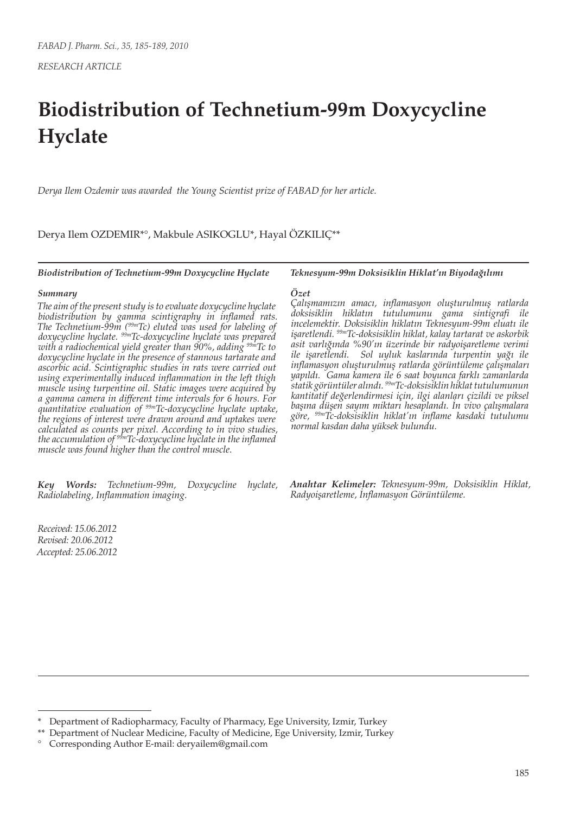# **Biodistribution of Technetium-99m Doxycycline Hyclate**

*Derya Ilem Ozdemir was awarded the Young Scientist prize of FABAD for her article.*

Derya Ilem OZDEMIR\*°, Makbule ASIKOGLU\*, Hayal ÖZKILIÇ\*\*

*Biodistribution of Technetium-99m Doxycycline Hyclate*

#### *Summary*

*The aim of the present study is to evaluate doxycycline hyclate biodistribution by gamma scintigraphy in inflamed rats. The Technetium-99m (99mTc) eluted was used for labeling of doxycycline hyclate. 99mTc-doxycycline hyclate was prepared with a radiochemical yield greater than 90%, adding 99mTc to doxycycline hyclate in the presence of stannous tartarate and ascorbic acid. Scintigraphic studies in rats were carried out using experimentally induced inflammation in the left thigh muscle using turpentine oil. Static images were acquired by a gamma camera in different time intervals for 6 hours. For quantitative evaluation of 99mTc-doxycycline hyclate uptake, the regions of interest were drawn around and uptakes were calculated as counts per pixel. According to in vivo studies, the accumulation of 99mTc-doxycycline hyclate in the inflamed muscle was found higher than the control muscle.*

*Key Words: Technetium-99m, Doxycycline hyclate, Radiolabeling, Inflammation imaging.*

*Received: 15.06.2012 Revised: 20.06.2012 Accepted: 25.06.2012* *Teknesyum-99m Doksisiklin Hiklat'ın Biyodağılımı*

#### *Özet*

*Çalışmamızın amacı, inflamasyon oluşturulmuş ratlarda doksisiklin hiklatın tutulumunu gama sintigrafi ile incelemektir. Doksisiklin hiklatın Teknesyum-99m eluatı ile işaretlendi. 99mTc-doksisiklin hiklat, kalay tartarat ve askorbik asit varlığında %90'ın üzerinde bir radyoişaretleme verimi ile işaretlendi. Sol uyluk kaslarında turpentin yağı ile inflamasyon oluşturulmuş ratlarda görüntüleme çalışmaları yapıldı. Gama kamera ile 6 saat boyunca farklı zamanlarda statik görüntüler alındı. 99mTc-doksisiklin hiklat tutulumunun kantitatif değerlendirmesi için, ilgi alanları çizildi ve piksel başına düşen sayım miktarı hesaplandı. İn vivo çalışmalara göre, 99mTc-doksisiklin hiklat'ın inflame kasdaki tutulumu normal kasdan daha yüksek bulundu.*

*Anahtar Kelimeler: Teknesyum-99m, Doksisiklin Hiklat, Radyoişaretleme, İnflamasyon Görüntüleme.*

Department of Radiopharmacy, Faculty of Pharmacy, Ege University, Izmir, Turkey

<sup>\*\*</sup> Department of Nuclear Medicine, Faculty of Medicine, Ege University, Izmir, Turkey

<sup>°</sup> Corresponding Author E-mail: deryailem@gmail.com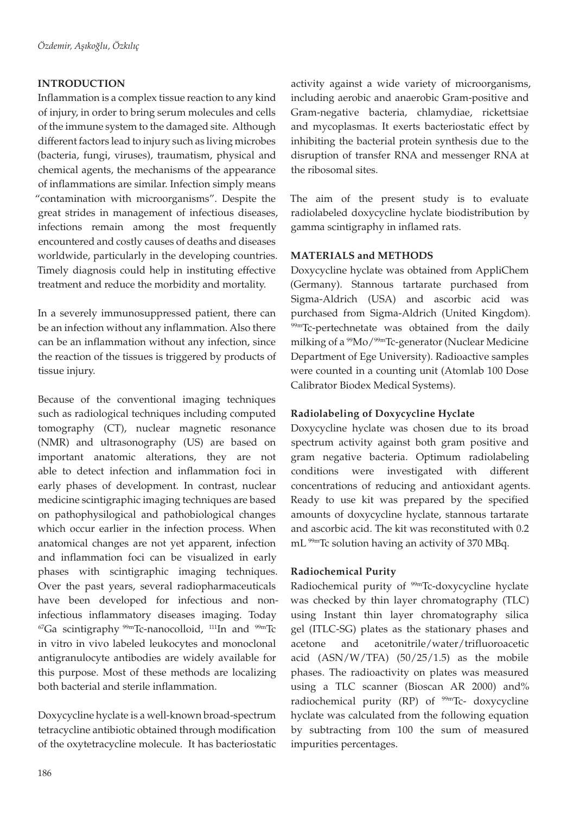# **INTRODUCTION**

Inflammation is a complex tissue reaction to any kind of injury, in order to bring serum molecules and cells of the immune system to the damaged site. Although different factors lead to injury such as living microbes (bacteria, fungi, viruses), traumatism, physical and chemical agents, the mechanisms of the appearance of inflammations are similar. Infection simply means "contamination with microorganisms". Despite the great strides in management of infectious diseases, infections remain among the most frequently encountered and costly causes of deaths and diseases worldwide, particularly in the developing countries. Timely diagnosis could help in instituting effective treatment and reduce the morbidity and mortality.

In a severely immunosuppressed patient, there can be an infection without any inflammation. Also there can be an inflammation without any infection, since the reaction of the tissues is triggered by products of tissue injury.

Because of the conventional imaging techniques such as radiological techniques including computed tomography (CT), nuclear magnetic resonance (NMR) and ultrasonography (US) are based on important anatomic alterations, they are not able to detect infection and inflammation foci in early phases of development. In contrast, nuclear medicine scintigraphic imaging techniques are based on pathophysilogical and pathobiological changes which occur earlier in the infection process. When anatomical changes are not yet apparent, infection and inflammation foci can be visualized in early phases with scintigraphic imaging techniques. Over the past years, several radiopharmaceuticals have been developed for infectious and noninfectious inflammatory diseases imaging. Today  $^{67}$ Ga scintigraphy  $^{99m}$ Tc-nanocolloid,  $^{111}$ In and  $^{99m}$ Tc in vitro in vivo labeled leukocytes and monoclonal antigranulocyte antibodies are widely available for this purpose. Most of these methods are localizing both bacterial and sterile inflammation.

Doxycycline hyclate is a well-known broad-spectrum tetracycline antibiotic obtained through modification of the oxytetracycline molecule. It has bacteriostatic activity against a wide variety of microorganisms, including aerobic and anaerobic Gram-positive and Gram-negative bacteria, chlamydiae, rickettsiae and mycoplasmas. It exerts bacteriostatic effect by inhibiting the bacterial protein synthesis due to the disruption of transfer RNA and messenger RNA at the ribosomal sites.

The aim of the present study is to evaluate radiolabeled doxycycline hyclate biodistribution by gamma scintigraphy in inflamed rats.

## **MATERIALS and METHODS**

Doxycycline hyclate was obtained from AppliChem (Germany). Stannous tartarate purchased from Sigma-Aldrich (USA) and ascorbic acid was purchased from Sigma-Aldrich (United Kingdom). 99mTc-pertechnetate was obtained from the daily milking of a <sup>99</sup>Mo/<sup>99m</sup>Tc-generator (Nuclear Medicine Department of Ege University). Radioactive samples were counted in a counting unit (Atomlab 100 Dose Calibrator Biodex Medical Systems).

# **Radiolabeling of Doxycycline Hyclate**

Doxycycline hyclate was chosen due to its broad spectrum activity against both gram positive and gram negative bacteria. Optimum radiolabeling conditions were investigated with different concentrations of reducing and antioxidant agents. Ready to use kit was prepared by the specified amounts of doxycycline hyclate, stannous tartarate and ascorbic acid. The kit was reconstituted with 0.2 mL<sup>99m</sup>Tc solution having an activity of 370 MBq.

## **Radiochemical Purity**

Radiochemical purity of <sup>99m</sup>Tc-doxycycline hyclate was checked by thin layer chromatography (TLC) using Instant thin layer chromatography silica gel (ITLC-SG) plates as the stationary phases and acetone and acetonitrile/water/trifluoroacetic acid  $(ASN/W/TFA)$   $(50/25/1.5)$  as the mobile phases. The radioactivity on plates was measured using a TLC scanner (Bioscan AR 2000) and% radiochemical purity (RP) of  $99m$ Tc- doxycycline hyclate was calculated from the following equation by subtracting from 100 the sum of measured impurities percentages.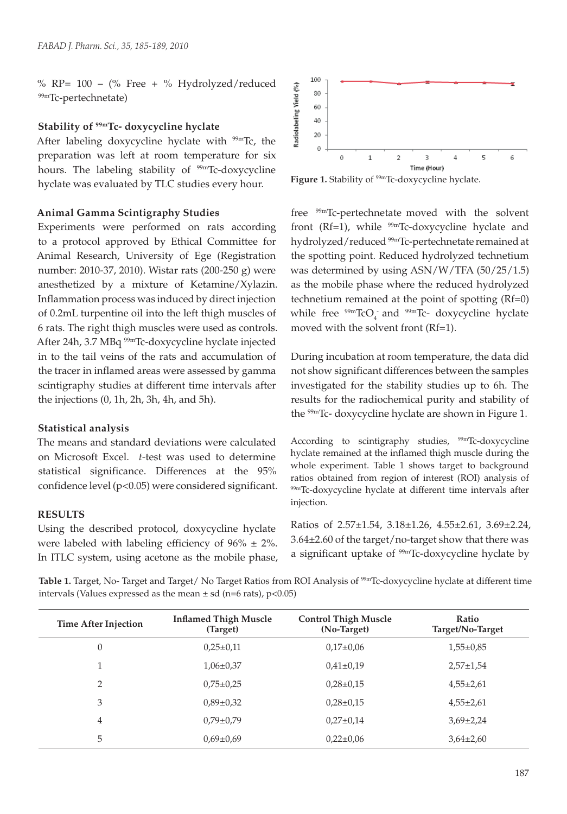% RP=  $100 - (\%$  Free + % Hydrolyzed/reduced 99mTc-pertechnetate)

### **Stability of 99mTc- doxycycline hyclate**

After labeling doxycycline hyclate with  $99mTc$ , the preparation was left at room temperature for six hours. The labeling stability of <sup>99m</sup>Tc-doxycycline hyclate was evaluated by TLC studies every hour.

#### **Animal Gamma Scintigraphy Studies**

Experiments were performed on rats according to a protocol approved by Ethical Committee for Animal Research, University of Ege (Registration number: 2010-37, 2010). Wistar rats (200-250 g) were anesthetized by a mixture of Ketamine/Xylazin. Inflammation process was induced by direct injection of 0.2mL turpentine oil into the left thigh muscles of 6 rats. The right thigh muscles were used as controls. After 24h, 3.7 MBq 99mTc-doxycycline hyclate injected in to the tail veins of the rats and accumulation of the tracer in inflamed areas were assessed by gamma scintigraphy studies at different time intervals after the injections (0, 1h, 2h, 3h, 4h, and 5h).

#### **Statistical analysis**

The means and standard deviations were calculated on Microsoft Excel. *t-*test was used to determine statistical significance. Differences at the 95% confidence level (p<0.05) were considered significant.

#### **RESULTS**

Using the described protocol, doxycycline hyclate were labeled with labeling efficiency of  $96\% \pm 2\%$ . In ITLC system, using acetone as the mobile phase,



Figure 1. Stability of <sup>99m</sup>Tc-doxycycline hyclate.

free 99mTc-pertechnetate moved with the solvent front (Rf=1), while  $^{99m}$ Tc-doxycycline hyclate and hydrolyzed/reduced<sup>99m</sup>Tc-pertechnetate remained at the spotting point. Reduced hydrolyzed technetium was determined by using ASN/W/TFA (50/25/1.5) as the mobile phase where the reduced hydrolyzed technetium remained at the point of spotting (Rf=0) while free  $\frac{99m}{2}$ TcO<sub>4</sub> and  $\frac{99m}{2}$ Tc- doxycycline hyclate moved with the solvent front (Rf=1).

During incubation at room temperature, the data did not show significant differences between the samples investigated for the stability studies up to 6h. The results for the radiochemical purity and stability of the 99mTc- doxycycline hyclate are shown in Figure 1.

According to scintigraphy studies,  $99m$ Tc-doxycycline hyclate remained at the inflamed thigh muscle during the whole experiment. Table 1 shows target to background ratios obtained from region of interest (ROI) analysis of 99mTc-doxycycline hyclate at different time intervals after injection.

Ratios of 2.57±1.54, 3.18±1.26, 4.55±2.61, 3.69±2.24, 3.64±2.60 of the target/no-target show that there was a significant uptake of <sup>99m</sup>Tc-doxycycline hyclate by

**Table 1.** Target, No- Target and Target/ No Target Ratios from ROI Analysis of <sup>99m</sup>Tc-doxycycline hyclate at different time intervals (Values expressed as the mean  $\pm$  sd (n=6 rats), p<0.05)

| <b>Time After Injection</b> | <b>Inflamed Thigh Muscle</b><br>(Target) | <b>Control Thigh Muscle</b><br>(No-Target) | Ratio<br>Target/No-Target |
|-----------------------------|------------------------------------------|--------------------------------------------|---------------------------|
| $\theta$                    | $0.25 \pm 0.11$                          | $0.17{\pm}0.06$                            | $1,55\pm0.85$             |
|                             | $1,06\pm0,37$                            | $0.41 \pm 0.19$                            | $2,57+1,54$               |
| 2                           | $0.75 \pm 0.25$                          | $0.28 \pm 0.15$                            | $4,55\pm2,61$             |
| 3                           | $0.89 \pm 0.32$                          | $0,28\pm0,15$                              | $4,55\pm2,61$             |
| $\overline{4}$              | $0.79 \pm 0.79$                          | $0,27\pm0,14$                              | $3,69\pm2,24$             |
| 5                           | $0.69 \pm 0.69$                          | $0.22 \pm 0.06$                            | $3,64\pm2,60$             |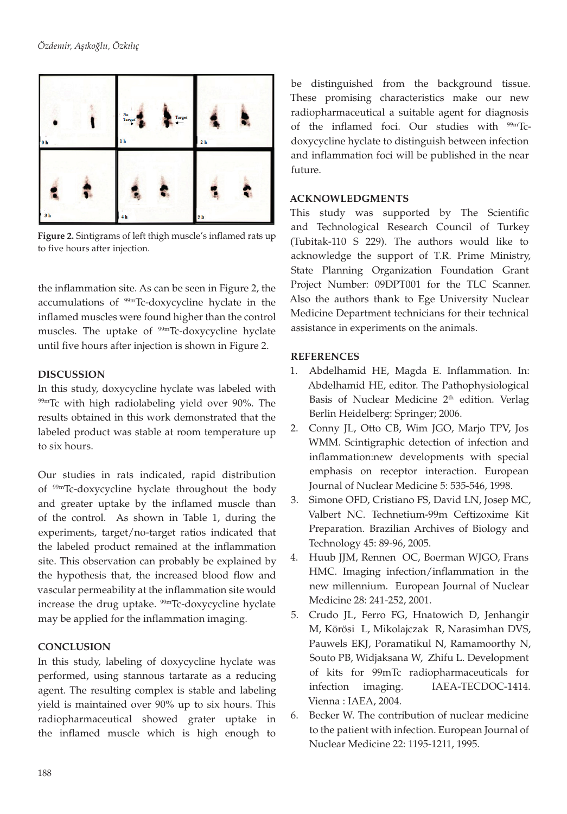

**Figure 2.** Sintigrams of left thigh muscle's inflamed rats up to five hours after injection.

the inflammation site. As can be seen in Figure 2, the accumulations of 99mTc-doxycycline hyclate in the inflamed muscles were found higher than the control muscles. The uptake of <sup>99m</sup>Tc-doxycycline hyclate until five hours after injection is shown in Figure 2.

# **DISCUSSION**

In this study, doxycycline hyclate was labeled with 99mTc with high radiolabeling yield over 90%. The results obtained in this work demonstrated that the labeled product was stable at room temperature up to six hours.

Our studies in rats indicated, rapid distribution of 99mTc-doxycycline hyclate throughout the body and greater uptake by the inflamed muscle than of the control. As shown in Table 1, during the experiments, target/no-target ratios indicated that the labeled product remained at the inflammation site. This observation can probably be explained by the hypothesis that, the increased blood flow and vascular permeability at the inflammation site would increase the drug uptake.  $99m$ Tc-doxycycline hyclate may be applied for the inflammation imaging.

# **CONCLUSION**

In this study, labeling of doxycycline hyclate was performed, using stannous tartarate as a reducing agent. The resulting complex is stable and labeling yield is maintained over 90% up to six hours. This radiopharmaceutical showed grater uptake in the inflamed muscle which is high enough to

be distinguished from the background tissue. These promising characteristics make our new radiopharmaceutical a suitable agent for diagnosis of the inflamed foci. Our studies with <sup>99mT</sup>cdoxycycline hyclate to distinguish between infection and inflammation foci will be published in the near future.

## **ACKNOWLEDGMENTS**

This study was supported by The Scientific and Technological Research Council of Turkey (Tubitak-110 S 229). The authors would like to acknowledge the support of T.R. Prime Ministry, State Planning Organization Foundation Grant Project Number: 09DPT001 for the TLC Scanner. Also the authors thank to Ege University Nuclear Medicine Department technicians for their technical assistance in experiments on the animals.

## **REFERENCES**

- 1. Abdelhamid HE, Magda E. Inflammation. In: Abdelhamid HE, editor. The Pathophysiological Basis of Nuclear Medicine 2<sup>th</sup> edition. Verlag Berlin Heidelberg: Springer; 2006.
- 2. Conny JL, Otto CB, Wim JGO, Marjo TPV, Jos WMM. Scintigraphic detection of infection and inflammation:new developments with special emphasis on receptor interaction. European Journal of Nuclear Medicine 5: 535-546, 1998.
- 3. Simone OFD, Cristiano FS, David LN, Josep MC, Valbert NC. Technetium-99m Ceftizoxime Kit Preparation. Brazilian Archives of Biology and Technology 45: 89-96, 2005.
- 4. Huub JJM, Rennen OC, Boerman WJGO, Frans HMC. Imaging infection/inflammation in the new millennium. European Journal of Nuclear Medicine 28: 241-252, 2001.
- 5. Crudo JL, Ferro FG, Hnatowich D, Jenhangir M, Körösi L, Mikolajczak R, Narasimhan DVS, Pauwels EKJ, Poramatikul N, Ramamoorthy N, Souto PB, Widjaksana W, Zhifu L. Development of kits for 99mTc radiopharmaceuticals for infection imaging. IAEA-TECDOC-1414. Vienna : IAEA, 2004.
- 6. Becker W. The contribution of nuclear medicine to the patient with infection. European Journal of Nuclear Medicine 22: 1195-1211, 1995.